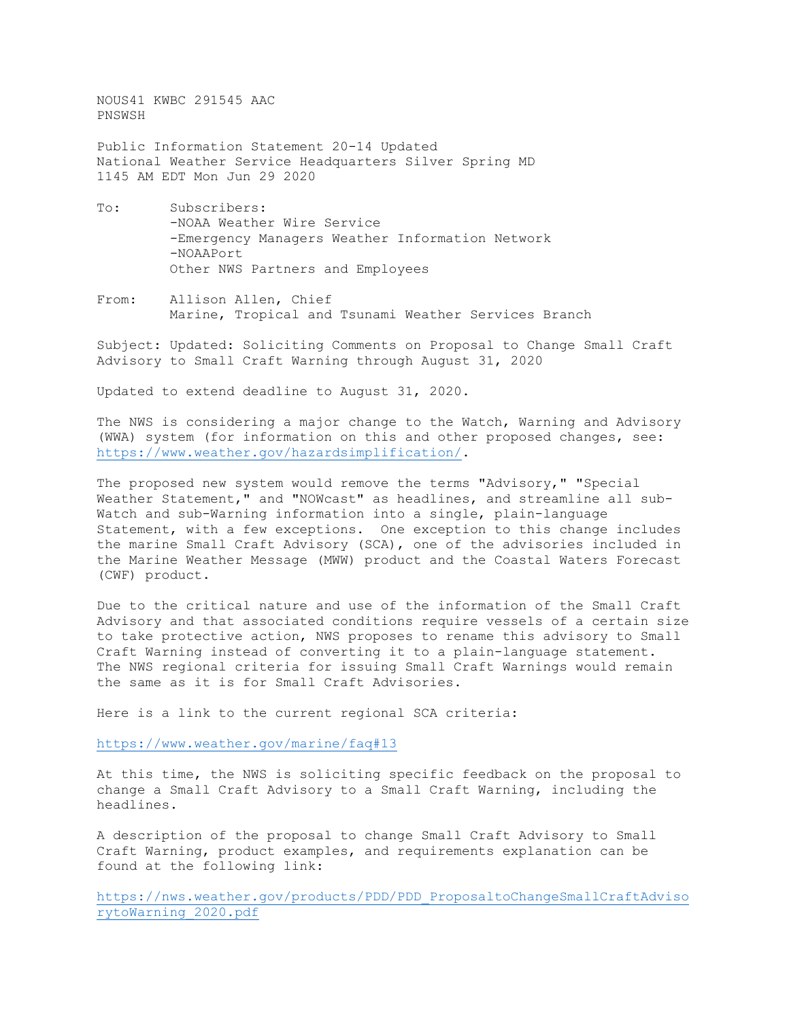NOUS41 KWBC 291545 AAC PNSWSH

Public Information Statement 20-14 Updated National Weather Service Headquarters Silver Spring MD 1145 AM EDT Mon Jun 29 2020

- To: Subscribers: -NOAA Weather Wire Service -Emergency Managers Weather Information Network -NOAAPort Other NWS Partners and Employees
- From: Allison Allen, Chief Marine, Tropical and Tsunami Weather Services Branch

Subject: Updated: Soliciting Comments on Proposal to Change Small Craft Advisory to Small Craft Warning through August 31, 2020

Updated to extend deadline to August 31, 2020.

The NWS is considering a major change to the Watch, Warning and Advisory (WWA) system (for information on this and other proposed changes, see: [https://www.weather.gov/hazardsimplification/.](https://www.weather.gov/hazardsimplification/)

The proposed new system would remove the terms "Advisory," "Special Weather Statement," and "NOWcast" as headlines, and streamline all sub-Watch and sub-Warning information into a single, plain-language Statement, with a few exceptions. One exception to this change includes the marine Small Craft Advisory (SCA), one of the advisories included in the Marine Weather Message (MWW) product and the Coastal Waters Forecast (CWF) product.

Due to the critical nature and use of the information of the Small Craft Advisory and that associated conditions require vessels of a certain size to take protective action, NWS proposes to rename this advisory to Small Craft Warning instead of converting it to a plain-language statement. The NWS regional criteria for issuing Small Craft Warnings would remain the same as it is for Small Craft Advisories.

Here is a link to the current regional SCA criteria:

<https://www.weather.gov/marine/faq#13>

At this time, the NWS is soliciting specific feedback on the proposal to change a Small Craft Advisory to a Small Craft Warning, including the headlines.

A description of the proposal to change Small Craft Advisory to Small Craft Warning, product examples, and requirements explanation can be found at the following link:

[https://nws.weather.gov/products/PDD/PDD\\_ProposaltoChangeSmallCraftAdviso](https://nws.weather.gov/products/PDD/PDD_ProposaltoChangeSmallCraftAdvisorytoWarning_2020.pdf) [rytoWarning\\_2020.pdf](https://nws.weather.gov/products/PDD/PDD_ProposaltoChangeSmallCraftAdvisorytoWarning_2020.pdf)